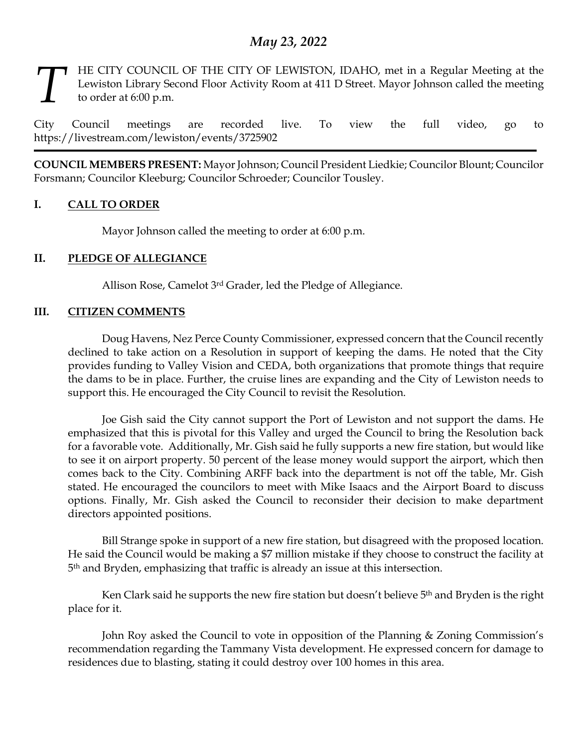# *May 23, 2022*

HE CITY COUNCIL OF THE CITY OF LEWISTON, IDAHO, met in a Regular Meeting at the Lewiston Library Second Floor Activity Room at 411 D Street. Mayor Johnson called the meeting to order at 6:00 p.m. *T*

City Council meetings are recorded live. To view the full video, go to https://livestream.com/lewiston/events/3725902

**COUNCIL MEMBERS PRESENT:** Mayor Johnson; Council President Liedkie; Councilor Blount; Councilor Forsmann; Councilor Kleeburg; Councilor Schroeder; Councilor Tousley.

# **I. CALL TO ORDER**

Mayor Johnson called the meeting to order at 6:00 p.m.

# **II. PLEDGE OF ALLEGIANCE**

Allison Rose, Camelot 3rd Grader, led the Pledge of Allegiance.

### **III. CITIZEN COMMENTS**

Doug Havens, Nez Perce County Commissioner, expressed concern that the Council recently declined to take action on a Resolution in support of keeping the dams. He noted that the City provides funding to Valley Vision and CEDA, both organizations that promote things that require the dams to be in place. Further, the cruise lines are expanding and the City of Lewiston needs to support this. He encouraged the City Council to revisit the Resolution.

Joe Gish said the City cannot support the Port of Lewiston and not support the dams. He emphasized that this is pivotal for this Valley and urged the Council to bring the Resolution back for a favorable vote. Additionally, Mr. Gish said he fully supports a new fire station, but would like to see it on airport property. 50 percent of the lease money would support the airport, which then comes back to the City. Combining ARFF back into the department is not off the table, Mr. Gish stated. He encouraged the councilors to meet with Mike Isaacs and the Airport Board to discuss options. Finally, Mr. Gish asked the Council to reconsider their decision to make department directors appointed positions.

Bill Strange spoke in support of a new fire station, but disagreed with the proposed location. He said the Council would be making a \$7 million mistake if they choose to construct the facility at 5 th and Bryden, emphasizing that traffic is already an issue at this intersection.

Ken Clark said he supports the new fire station but doesn't believe 5<sup>th</sup> and Bryden is the right place for it.

John Roy asked the Council to vote in opposition of the Planning & Zoning Commission's recommendation regarding the Tammany Vista development. He expressed concern for damage to residences due to blasting, stating it could destroy over 100 homes in this area.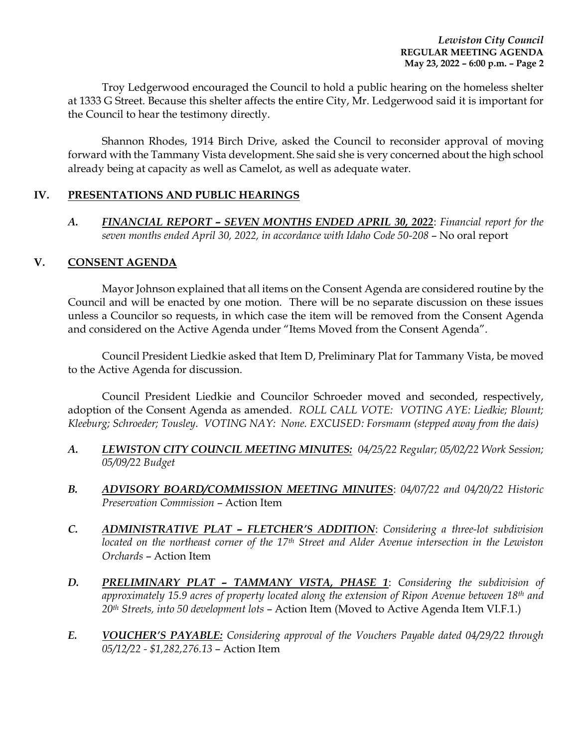Troy Ledgerwood encouraged the Council to hold a public hearing on the homeless shelter at 1333 G Street. Because this shelter affects the entire City, Mr. Ledgerwood said it is important for the Council to hear the testimony directly.

Shannon Rhodes, 1914 Birch Drive, asked the Council to reconsider approval of moving forward with the Tammany Vista development. She said she is very concerned about the high school already being at capacity as well as Camelot, as well as adequate water.

# **IV. PRESENTATIONS AND PUBLIC HEARINGS**

*A. FINANCIAL REPORT – SEVEN MONTHS ENDED APRIL 30, 2022*: *Financial report for the*  seven months ended April 30, 2022, in accordance with Idaho Code 50-208 - No oral report

### **V. CONSENT AGENDA**

Mayor Johnson explained that all items on the Consent Agenda are considered routine by the Council and will be enacted by one motion. There will be no separate discussion on these issues unless a Councilor so requests, in which case the item will be removed from the Consent Agenda and considered on the Active Agenda under "Items Moved from the Consent Agenda".

Council President Liedkie asked that Item D, Preliminary Plat for Tammany Vista, be moved to the Active Agenda for discussion.

Council President Liedkie and Councilor Schroeder moved and seconded, respectively, adoption of the Consent Agenda as amended. *ROLL CALL VOTE: VOTING AYE: Liedkie; Blount; Kleeburg; Schroeder; Tousley. VOTING NAY: None. EXCUSED: Forsmann (stepped away from the dais)*

- *A. LEWISTON CITY COUNCIL MEETING MINUTES: 04/25/22 Regular; 05/02/22 Work Session; 05/09/22 Budget*
- *B. ADVISORY BOARD/COMMISSION MEETING MINUTES*: *04/07/22 and 04/20/22 Historic Preservation Commission* – Action Item
- *C. ADMINISTRATIVE PLAT – FLETCHER'S ADDITION*: *Considering a three-lot subdivision located on the northeast corner of the 17th Street and Alder Avenue intersection in the Lewiston Orchards* – Action Item
- *D. PRELIMINARY PLAT – TAMMANY VISTA, PHASE 1*: *Considering the subdivision of approximately 15.9 acres of property located along the extension of Ripon Avenue between 18th and 20th Streets, into 50 development lots* – Action Item (Moved to Active Agenda Item VI.F.1.)
- *E. VOUCHER'S PAYABLE: Considering approval of the Vouchers Payable dated 04/29/22 through 05/12/22 - \$1,282,276.13* – Action Item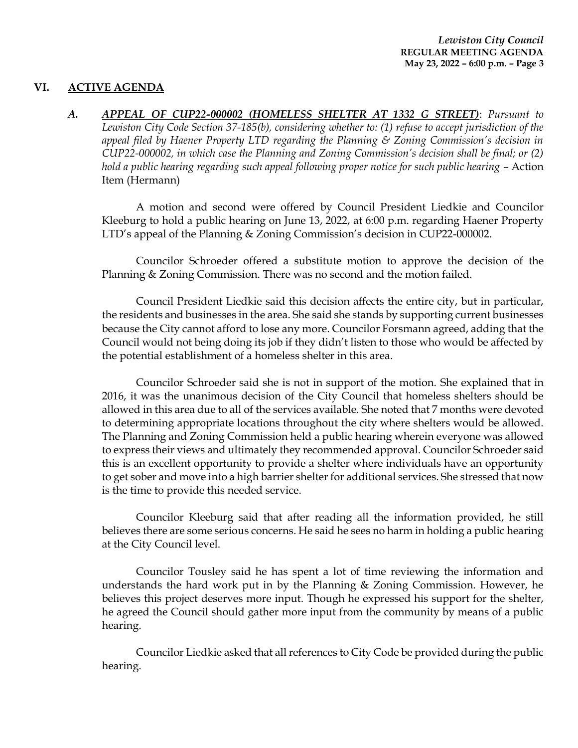### **VI. ACTIVE AGENDA**

*A. APPEAL OF CUP22-000002 (HOMELESS SHELTER AT 1332 G STREET)*: *Pursuant to Lewiston City Code Section 37-185(b), considering whether to: (1) refuse to accept jurisdiction of the appeal filed by Haener Property LTD regarding the Planning & Zoning Commission's decision in CUP22-000002, in which case the Planning and Zoning Commission's decision shall be final; or (2)*  hold a public hearing regarding such appeal following proper notice for such public hearing – Action Item (Hermann)

A motion and second were offered by Council President Liedkie and Councilor Kleeburg to hold a public hearing on June 13, 2022, at 6:00 p.m. regarding Haener Property LTD's appeal of the Planning & Zoning Commission's decision in CUP22-000002.

Councilor Schroeder offered a substitute motion to approve the decision of the Planning & Zoning Commission. There was no second and the motion failed.

Council President Liedkie said this decision affects the entire city, but in particular, the residents and businesses in the area. She said she stands by supporting current businesses because the City cannot afford to lose any more. Councilor Forsmann agreed, adding that the Council would not being doing its job if they didn't listen to those who would be affected by the potential establishment of a homeless shelter in this area.

Councilor Schroeder said she is not in support of the motion. She explained that in 2016, it was the unanimous decision of the City Council that homeless shelters should be allowed in this area due to all of the services available. She noted that 7 months were devoted to determining appropriate locations throughout the city where shelters would be allowed. The Planning and Zoning Commission held a public hearing wherein everyone was allowed to express their views and ultimately they recommended approval. Councilor Schroeder said this is an excellent opportunity to provide a shelter where individuals have an opportunity to get sober and move into a high barrier shelter for additional services. She stressed that now is the time to provide this needed service.

Councilor Kleeburg said that after reading all the information provided, he still believes there are some serious concerns. He said he sees no harm in holding a public hearing at the City Council level.

Councilor Tousley said he has spent a lot of time reviewing the information and understands the hard work put in by the Planning & Zoning Commission. However, he believes this project deserves more input. Though he expressed his support for the shelter, he agreed the Council should gather more input from the community by means of a public hearing.

Councilor Liedkie asked that all references to City Code be provided during the public hearing.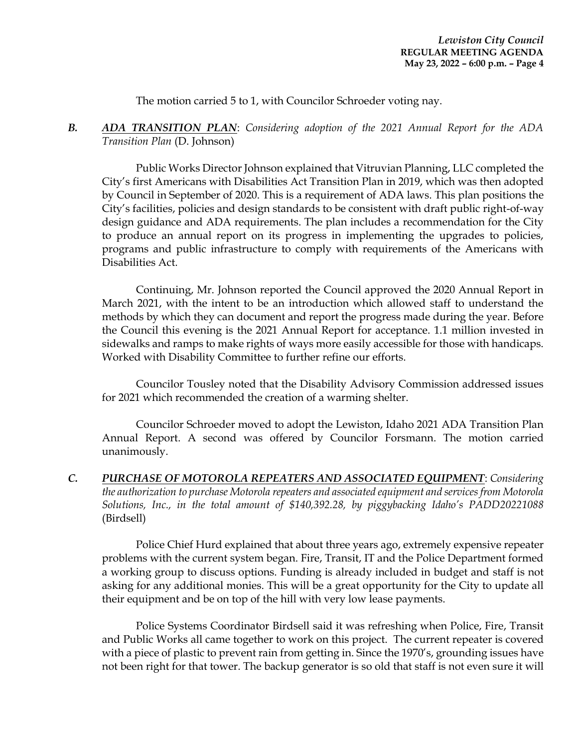The motion carried 5 to 1, with Councilor Schroeder voting nay.

*B. ADA TRANSITION PLAN*: *Considering adoption of the 2021 Annual Report for the ADA Transition Plan* (D. Johnson)

Public Works Director Johnson explained that Vitruvian Planning, LLC completed the City's first Americans with Disabilities Act Transition Plan in 2019, which was then adopted by Council in September of 2020. This is a requirement of ADA laws. This plan positions the City's facilities, policies and design standards to be consistent with draft public right-of-way design guidance and ADA requirements. The plan includes a recommendation for the City to produce an annual report on its progress in implementing the upgrades to policies, programs and public infrastructure to comply with requirements of the Americans with Disabilities Act.

Continuing, Mr. Johnson reported the Council approved the 2020 Annual Report in March 2021, with the intent to be an introduction which allowed staff to understand the methods by which they can document and report the progress made during the year. Before the Council this evening is the 2021 Annual Report for acceptance. 1.1 million invested in sidewalks and ramps to make rights of ways more easily accessible for those with handicaps. Worked with Disability Committee to further refine our efforts.

Councilor Tousley noted that the Disability Advisory Commission addressed issues for 2021 which recommended the creation of a warming shelter.

Councilor Schroeder moved to adopt the Lewiston, Idaho 2021 ADA Transition Plan Annual Report. A second was offered by Councilor Forsmann. The motion carried unanimously.

*C. PURCHASE OF MOTOROLA REPEATERS AND ASSOCIATED EQUIPMENT*: *Considering the authorization to purchase Motorola repeaters and associated equipment and services from Motorola Solutions, Inc., in the total amount of \$140,392.28, by piggybacking Idaho's PADD20221088* (Birdsell)

Police Chief Hurd explained that about three years ago, extremely expensive repeater problems with the current system began. Fire, Transit, IT and the Police Department formed a working group to discuss options. Funding is already included in budget and staff is not asking for any additional monies. This will be a great opportunity for the City to update all their equipment and be on top of the hill with very low lease payments.

Police Systems Coordinator Birdsell said it was refreshing when Police, Fire, Transit and Public Works all came together to work on this project. The current repeater is covered with a piece of plastic to prevent rain from getting in. Since the 1970's, grounding issues have not been right for that tower. The backup generator is so old that staff is not even sure it will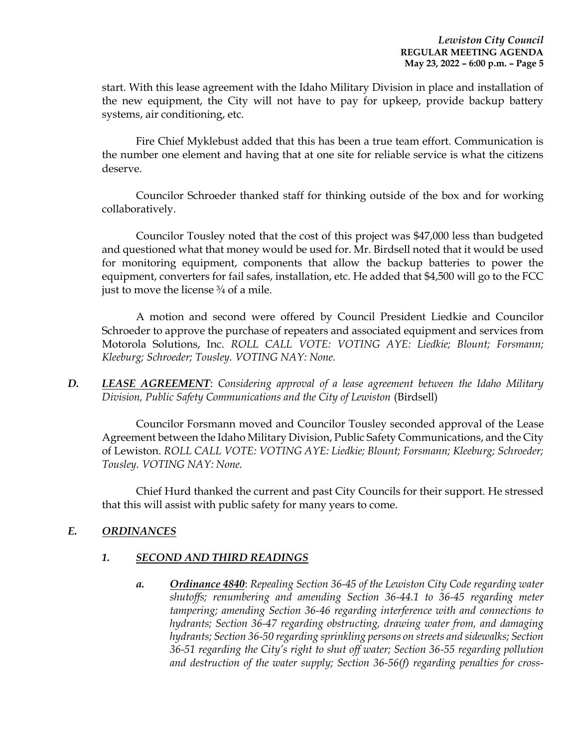start. With this lease agreement with the Idaho Military Division in place and installation of the new equipment, the City will not have to pay for upkeep, provide backup battery systems, air conditioning, etc.

Fire Chief Myklebust added that this has been a true team effort. Communication is the number one element and having that at one site for reliable service is what the citizens deserve.

Councilor Schroeder thanked staff for thinking outside of the box and for working collaboratively.

Councilor Tousley noted that the cost of this project was \$47,000 less than budgeted and questioned what that money would be used for. Mr. Birdsell noted that it would be used for monitoring equipment, components that allow the backup batteries to power the equipment, converters for fail safes, installation, etc. He added that \$4,500 will go to the FCC just to move the license  $\frac{3}{4}$  of a mile.

A motion and second were offered by Council President Liedkie and Councilor Schroeder to approve the purchase of repeaters and associated equipment and services from Motorola Solutions, Inc. *ROLL CALL VOTE: VOTING AYE: Liedkie; Blount; Forsmann; Kleeburg; Schroeder; Tousley. VOTING NAY: None.*

*D. LEASE AGREEMENT*: *Considering approval of a lease agreement between the Idaho Military Division, Public Safety Communications and the City of Lewiston* (Birdsell)

Councilor Forsmann moved and Councilor Tousley seconded approval of the Lease Agreement between the Idaho Military Division, Public Safety Communications, and the City of Lewiston. *ROLL CALL VOTE: VOTING AYE: Liedkie; Blount; Forsmann; Kleeburg; Schroeder; Tousley. VOTING NAY: None.*

Chief Hurd thanked the current and past City Councils for their support. He stressed that this will assist with public safety for many years to come.

# *E. ORDINANCES*

### *1. SECOND AND THIRD READINGS*

*a. Ordinance 4840*: *Repealing Section 36-45 of the Lewiston City Code regarding water shutoffs; renumbering and amending Section 36-44.1 to 36-45 regarding meter tampering; amending Section 36-46 regarding interference with and connections to hydrants; Section 36-47 regarding obstructing, drawing water from, and damaging hydrants; Section 36-50 regarding sprinkling persons on streets and sidewalks; Section 36-51 regarding the City's right to shut off water; Section 36-55 regarding pollution and destruction of the water supply; Section 36-56(f) regarding penalties for cross-*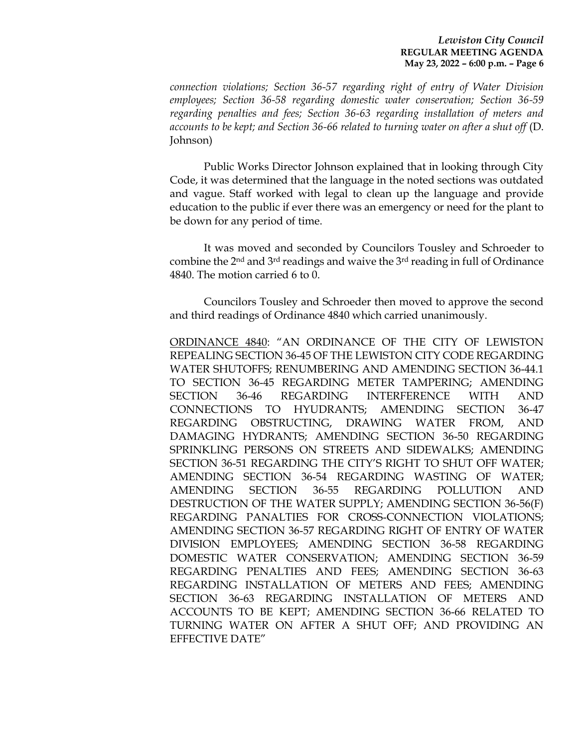#### *Lewiston City Council* **REGULAR MEETING AGENDA May 23, 2022 – 6:00 p.m. – Page 6**

*connection violations; Section 36-57 regarding right of entry of Water Division employees; Section 36-58 regarding domestic water conservation; Section 36-59 regarding penalties and fees; Section 36-63 regarding installation of meters and accounts to be kept; and Section 36-66 related to turning water on after a shut off* (D. Johnson)

Public Works Director Johnson explained that in looking through City Code, it was determined that the language in the noted sections was outdated and vague. Staff worked with legal to clean up the language and provide education to the public if ever there was an emergency or need for the plant to be down for any period of time.

It was moved and seconded by Councilors Tousley and Schroeder to combine the 2nd and 3rd readings and waive the 3rd reading in full of Ordinance 4840. The motion carried 6 to 0.

Councilors Tousley and Schroeder then moved to approve the second and third readings of Ordinance 4840 which carried unanimously.

ORDINANCE 4840: "AN ORDINANCE OF THE CITY OF LEWISTON REPEALING SECTION 36-45 OF THE LEWISTON CITY CODE REGARDING WATER SHUTOFFS; RENUMBERING AND AMENDING SECTION 36-44.1 TO SECTION 36-45 REGARDING METER TAMPERING; AMENDING SECTION 36-46 REGARDING INTERFERENCE WITH AND CONNECTIONS TO HYUDRANTS; AMENDING SECTION 36-47 REGARDING OBSTRUCTING, DRAWING WATER FROM, AND DAMAGING HYDRANTS; AMENDING SECTION 36-50 REGARDING SPRINKLING PERSONS ON STREETS AND SIDEWALKS; AMENDING SECTION 36-51 REGARDING THE CITY'S RIGHT TO SHUT OFF WATER; AMENDING SECTION 36-54 REGARDING WASTING OF WATER; AMENDING SECTION 36-55 REGARDING POLLUTION AND DESTRUCTION OF THE WATER SUPPLY; AMENDING SECTION 36-56(F) REGARDING PANALTIES FOR CROSS-CONNECTION VIOLATIONS; AMENDING SECTION 36-57 REGARDING RIGHT OF ENTRY OF WATER DIVISION EMPLOYEES; AMENDING SECTION 36-58 REGARDING DOMESTIC WATER CONSERVATION; AMENDING SECTION 36-59 REGARDING PENALTIES AND FEES; AMENDING SECTION 36-63 REGARDING INSTALLATION OF METERS AND FEES; AMENDING SECTION 36-63 REGARDING INSTALLATION OF METERS AND ACCOUNTS TO BE KEPT; AMENDING SECTION 36-66 RELATED TO TURNING WATER ON AFTER A SHUT OFF; AND PROVIDING AN EFFECTIVE DATE"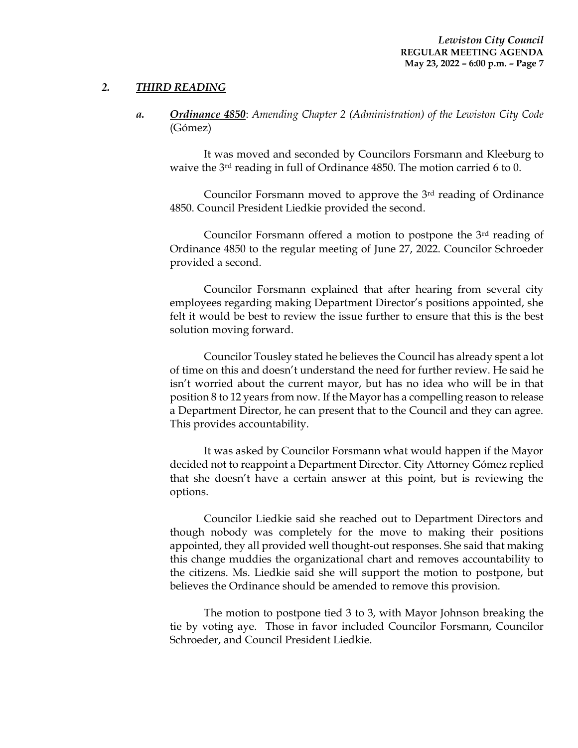# *2. THIRD READING*

*a. Ordinance 4850*: *Amending Chapter 2 (Administration) of the Lewiston City Code* (Gómez)

It was moved and seconded by Councilors Forsmann and Kleeburg to waive the 3rd reading in full of Ordinance 4850. The motion carried 6 to 0.

Councilor Forsmann moved to approve the 3rd reading of Ordinance 4850. Council President Liedkie provided the second.

Councilor Forsmann offered a motion to postpone the 3rd reading of Ordinance 4850 to the regular meeting of June 27, 2022. Councilor Schroeder provided a second.

Councilor Forsmann explained that after hearing from several city employees regarding making Department Director's positions appointed, she felt it would be best to review the issue further to ensure that this is the best solution moving forward.

Councilor Tousley stated he believes the Council has already spent a lot of time on this and doesn't understand the need for further review. He said he isn't worried about the current mayor, but has no idea who will be in that position 8 to 12 years from now. If the Mayor has a compelling reason to release a Department Director, he can present that to the Council and they can agree. This provides accountability.

It was asked by Councilor Forsmann what would happen if the Mayor decided not to reappoint a Department Director. City Attorney Gómez replied that she doesn't have a certain answer at this point, but is reviewing the options.

Councilor Liedkie said she reached out to Department Directors and though nobody was completely for the move to making their positions appointed, they all provided well thought-out responses. She said that making this change muddies the organizational chart and removes accountability to the citizens. Ms. Liedkie said she will support the motion to postpone, but believes the Ordinance should be amended to remove this provision.

The motion to postpone tied 3 to 3, with Mayor Johnson breaking the tie by voting aye. Those in favor included Councilor Forsmann, Councilor Schroeder, and Council President Liedkie.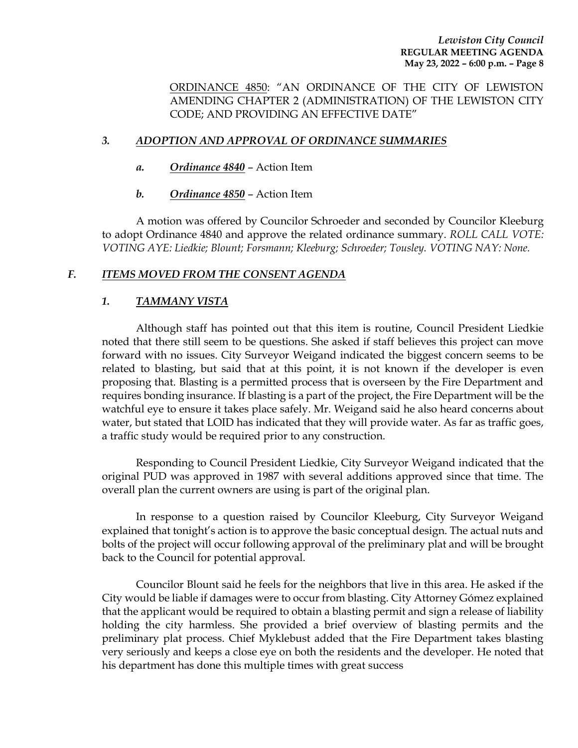ORDINANCE 4850: "AN ORDINANCE OF THE CITY OF LEWISTON AMENDING CHAPTER 2 (ADMINISTRATION) OF THE LEWISTON CITY CODE; AND PROVIDING AN EFFECTIVE DATE"

# *3. ADOPTION AND APPROVAL OF ORDINANCE SUMMARIES*

- *a. Ordinance 4840* Action Item
- *b. Ordinance 4850* Action Item

A motion was offered by Councilor Schroeder and seconded by Councilor Kleeburg to adopt Ordinance 4840 and approve the related ordinance summary. *ROLL CALL VOTE: VOTING AYE: Liedkie; Blount; Forsmann; Kleeburg; Schroeder; Tousley. VOTING NAY: None.*

# *F. ITEMS MOVED FROM THE CONSENT AGENDA*

# *1. TAMMANY VISTA*

Although staff has pointed out that this item is routine, Council President Liedkie noted that there still seem to be questions. She asked if staff believes this project can move forward with no issues. City Surveyor Weigand indicated the biggest concern seems to be related to blasting, but said that at this point, it is not known if the developer is even proposing that. Blasting is a permitted process that is overseen by the Fire Department and requires bonding insurance. If blasting is a part of the project, the Fire Department will be the watchful eye to ensure it takes place safely. Mr. Weigand said he also heard concerns about water, but stated that LOID has indicated that they will provide water. As far as traffic goes, a traffic study would be required prior to any construction.

Responding to Council President Liedkie, City Surveyor Weigand indicated that the original PUD was approved in 1987 with several additions approved since that time. The overall plan the current owners are using is part of the original plan.

In response to a question raised by Councilor Kleeburg, City Surveyor Weigand explained that tonight's action is to approve the basic conceptual design. The actual nuts and bolts of the project will occur following approval of the preliminary plat and will be brought back to the Council for potential approval.

Councilor Blount said he feels for the neighbors that live in this area. He asked if the City would be liable if damages were to occur from blasting. City Attorney Gómez explained that the applicant would be required to obtain a blasting permit and sign a release of liability holding the city harmless. She provided a brief overview of blasting permits and the preliminary plat process. Chief Myklebust added that the Fire Department takes blasting very seriously and keeps a close eye on both the residents and the developer. He noted that his department has done this multiple times with great success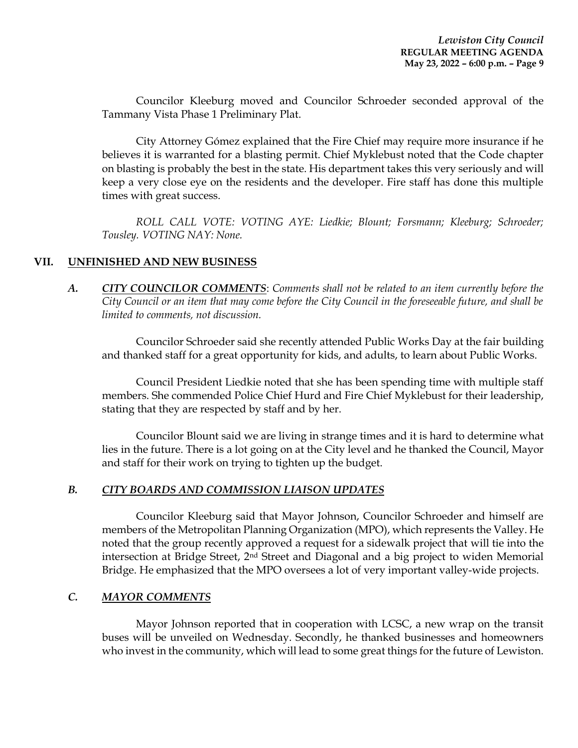Councilor Kleeburg moved and Councilor Schroeder seconded approval of the Tammany Vista Phase 1 Preliminary Plat.

City Attorney Gómez explained that the Fire Chief may require more insurance if he believes it is warranted for a blasting permit. Chief Myklebust noted that the Code chapter on blasting is probably the best in the state. His department takes this very seriously and will keep a very close eye on the residents and the developer. Fire staff has done this multiple times with great success.

*ROLL CALL VOTE: VOTING AYE: Liedkie; Blount; Forsmann; Kleeburg; Schroeder; Tousley. VOTING NAY: None.*

# **VII. UNFINISHED AND NEW BUSINESS**

*A. CITY COUNCILOR COMMENTS*: *Comments shall not be related to an item currently before the City Council or an item that may come before the City Council in the foreseeable future, and shall be limited to comments, not discussion.*

Councilor Schroeder said she recently attended Public Works Day at the fair building and thanked staff for a great opportunity for kids, and adults, to learn about Public Works.

Council President Liedkie noted that she has been spending time with multiple staff members. She commended Police Chief Hurd and Fire Chief Myklebust for their leadership, stating that they are respected by staff and by her.

Councilor Blount said we are living in strange times and it is hard to determine what lies in the future. There is a lot going on at the City level and he thanked the Council, Mayor and staff for their work on trying to tighten up the budget.

### *B. CITY BOARDS AND COMMISSION LIAISON UPDATES*

Councilor Kleeburg said that Mayor Johnson, Councilor Schroeder and himself are members of the Metropolitan Planning Organization (MPO), which represents the Valley. He noted that the group recently approved a request for a sidewalk project that will tie into the intersection at Bridge Street, 2nd Street and Diagonal and a big project to widen Memorial Bridge. He emphasized that the MPO oversees a lot of very important valley-wide projects.

### *C. MAYOR COMMENTS*

Mayor Johnson reported that in cooperation with LCSC, a new wrap on the transit buses will be unveiled on Wednesday. Secondly, he thanked businesses and homeowners who invest in the community, which will lead to some great things for the future of Lewiston.